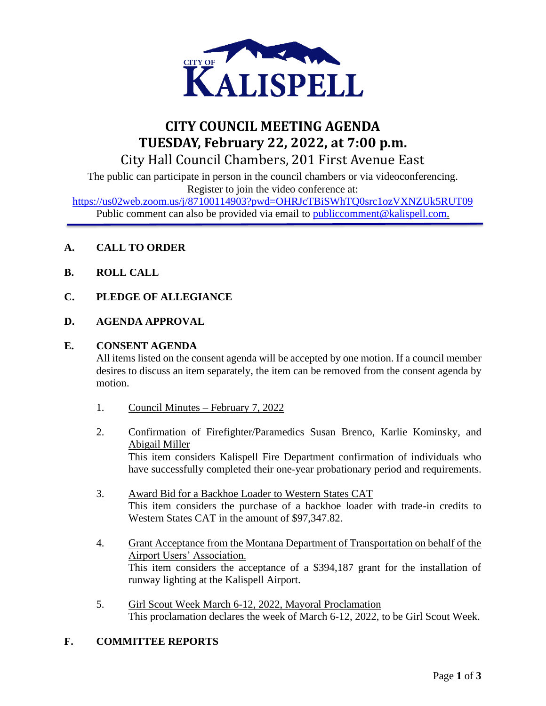

# **CITY COUNCIL MEETING AGENDA TUESDAY, February 22, 2022, at 7:00 p.m.** City Hall Council Chambers, 201 First Avenue East

The public can participate in person in the council chambers or via videoconferencing. Register to join the video conference at:

<https://us02web.zoom.us/j/87100114903?pwd=OHRJcTBiSWhTQ0src1ozVXNZUk5RUT09> Public comment can also be provided via email to public comment@kalispell.com.

- **A. CALL TO ORDER**
- **B. ROLL CALL**
- **C. PLEDGE OF ALLEGIANCE**
- **D. AGENDA APPROVAL**

# **E. CONSENT AGENDA**

All items listed on the consent agenda will be accepted by one motion. If a council member desires to discuss an item separately, the item can be removed from the consent agenda by motion.

- 1. Council Minutes February 7, 2022
- 2. Confirmation of Firefighter/Paramedics Susan Brenco, Karlie Kominsky, and Abigail Miller This item considers Kalispell Fire Department confirmation of individuals who have successfully completed their one-year probationary period and requirements.
- 3. Award Bid for a Backhoe Loader to Western States CAT This item considers the purchase of a backhoe loader with trade-in credits to Western States CAT in the amount of \$97,347.82.
- 4. Grant Acceptance from the Montana Department of Transportation on behalf of the Airport Users' Association. This item considers the acceptance of a \$394,187 grant for the installation of runway lighting at the Kalispell Airport.
- 5. Girl Scout Week March 6-12, 2022, Mayoral Proclamation This proclamation declares the week of March 6-12, 2022, to be Girl Scout Week.

# **F. COMMITTEE REPORTS**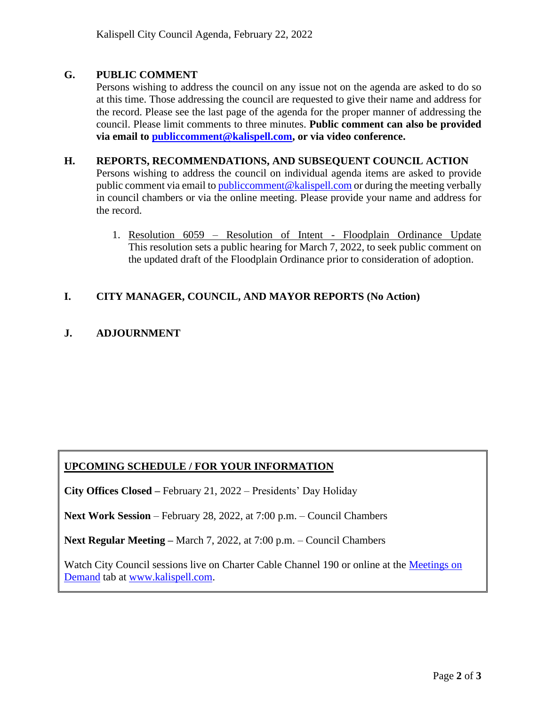# **G. PUBLIC COMMENT**

Persons wishing to address the council on any issue not on the agenda are asked to do so at this time. Those addressing the council are requested to give their name and address for the record. Please see the last page of the agenda for the proper manner of addressing the council. Please limit comments to three minutes. **Public comment can also be provided via email to [publiccomment@kalispell.com,](mailto:publiccomment@kalispell.com) or via video conference.**

#### **H. REPORTS, RECOMMENDATIONS, AND SUBSEQUENT COUNCIL ACTION**

Persons wishing to address the council on individual agenda items are asked to provide public comment via email t[o publiccomment@kalispell.com](mailto:publiccomment@kalispell.com) or during the meeting verbally in council chambers or via the online meeting. Please provide your name and address for the record.

1. Resolution 6059 – Resolution of Intent - Floodplain Ordinance Update This resolution sets a public hearing for March 7, 2022, to seek public comment on the updated draft of the Floodplain Ordinance prior to consideration of adoption.

# **I. CITY MANAGER, COUNCIL, AND MAYOR REPORTS (No Action)**

# **J. ADJOURNMENT**

# **UPCOMING SCHEDULE / FOR YOUR INFORMATION**

**City Offices Closed –** February 21, 2022 – Presidents' Day Holiday

**Next Work Session** – February 28, 2022, at 7:00 p.m. – Council Chambers

**Next Regular Meeting –** March 7, 2022, at 7:00 p.m. – Council Chambers

Watch City Council sessions live on Charter Cable Channel 190 or online at the [Meetings on](http://www.kalispell.com/mayor_and_city_council/meetings.php) [Demand](http://www.kalispell.com/mayor_and_city_council/meetings.php) tab at [www.kalispell.com.](http://www.kalispell.com/)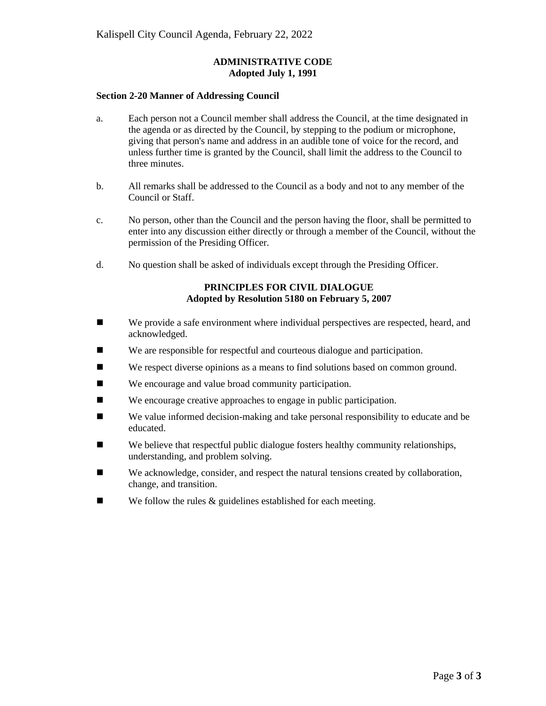#### **ADMINISTRATIVE CODE Adopted July 1, 1991**

#### **Section 2-20 Manner of Addressing Council**

- a. Each person not a Council member shall address the Council, at the time designated in the agenda or as directed by the Council, by stepping to the podium or microphone, giving that person's name and address in an audible tone of voice for the record, and unless further time is granted by the Council, shall limit the address to the Council to three minutes.
- b. All remarks shall be addressed to the Council as a body and not to any member of the Council or Staff.
- c. No person, other than the Council and the person having the floor, shall be permitted to enter into any discussion either directly or through a member of the Council, without the permission of the Presiding Officer.
- d. No question shall be asked of individuals except through the Presiding Officer.

#### **PRINCIPLES FOR CIVIL DIALOGUE Adopted by Resolution 5180 on February 5, 2007**

- We provide a safe environment where individual perspectives are respected, heard, and acknowledged.
- We are responsible for respectful and courteous dialogue and participation.
- We respect diverse opinions as a means to find solutions based on common ground.
- We encourage and value broad community participation.
- We encourage creative approaches to engage in public participation.
- We value informed decision-making and take personal responsibility to educate and be educated.
- $\blacksquare$  We believe that respectful public dialogue fosters healthy community relationships, understanding, and problem solving.
- We acknowledge, consider, and respect the natural tensions created by collaboration, change, and transition.
- $\blacksquare$  We follow the rules & guidelines established for each meeting.